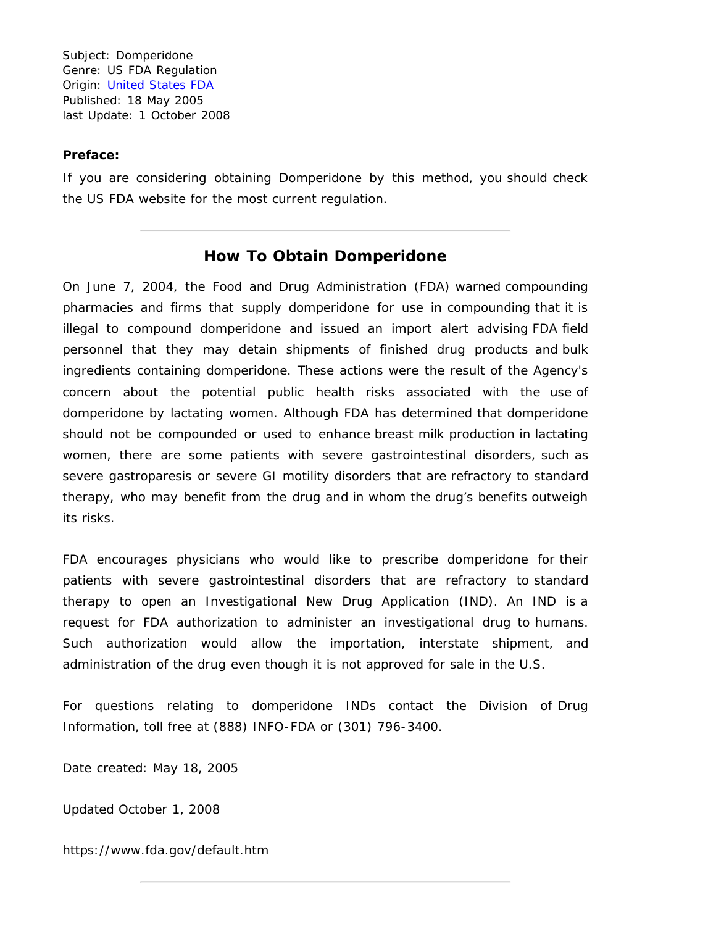Subject: Domperidone Genre: US FDA Regulation Origin: [United States FDA](https://www.fda.gov/) Published: 18 May 2005 last Update: 1 October 2008

## **Preface:**

If you are considering obtaining Domperidone by this method, you should check the US FDA website for the most current regulation.

## **How To Obtain Domperidone**

On June 7, 2004, the Food and Drug Administration (FDA) warned compounding pharmacies and firms that supply domperidone for use in compounding that it is illegal to compound domperidone and issued an import alert advising FDA field personnel that they may detain shipments of finished drug products and bulk ingredients containing domperidone. These actions were the result of the Agency's concern about the potential public health risks associated with the use of domperidone by lactating women. Although FDA has determined that domperidone should not be compounded or used to enhance breast milk production in lactating women, there are some patients with severe gastrointestinal disorders, such as severe gastroparesis or severe GI motility disorders that are refractory to standard therapy, who may benefit from the drug and in whom the drug's benefits outweigh its risks.

FDA encourages physicians who would like to prescribe domperidone for their patients with severe gastrointestinal disorders that are refractory to standard therapy to open an Investigational New Drug Application (IND). An IND is a request for FDA authorization to administer an investigational drug to humans. Such authorization would allow the importation, interstate shipment, and administration of the drug even though it is not approved for sale in the U.S.

For questions relating to domperidone INDs contact the Division of Drug Information, toll free at (888) INFO-FDA or (301) 796-3400.

Date created: May 18, 2005

Updated October 1, 2008

https://www.fda.gov/default.htm